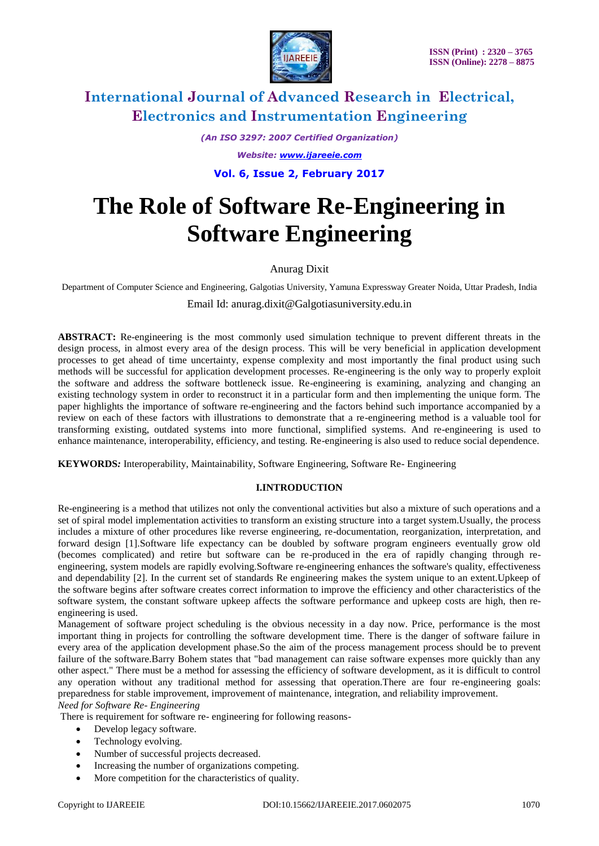

*(An ISO 3297: 2007 Certified Organization) Website: [www.ijareeie.com](http://www.ijareeie.com/)*

**Vol. 6, Issue 2, February 2017**

# **The Role of Software Re-Engineering in Software Engineering**

# Anurag Dixit

Department of Computer Science and Engineering, Galgotias University, Yamuna Expressway Greater Noida, Uttar Pradesh, India

Email Id: anurag.dixit@Galgotiasuniversity.edu.in

**ABSTRACT:** Re-engineering is the most commonly used simulation technique to prevent different threats in the design process, in almost every area of the design process. This will be very beneficial in application development processes to get ahead of time uncertainty, expense complexity and most importantly the final product using such methods will be successful for application development processes. Re-engineering is the only way to properly exploit the software and address the software bottleneck issue. Re-engineering is examining, analyzing and changing an existing technology system in order to reconstruct it in a particular form and then implementing the unique form. The paper highlights the importance of software re-engineering and the factors behind such importance accompanied by a review on each of these factors with illustrations to demonstrate that a re-engineering method is a valuable tool for transforming existing, outdated systems into more functional, simplified systems. And re-engineering is used to enhance maintenance, interoperability, efficiency, and testing. Re-engineering is also used to reduce social dependence.

**KEYWORDS***:* Interoperability, Maintainability, Software Engineering, Software Re- Engineering

### **I.INTRODUCTION**

Re-engineering is a method that utilizes not only the conventional activities but also a mixture of such operations and a set of spiral model implementation activities to transform an existing structure into a target system.Usually, the process includes a mixture of other procedures like reverse engineering, re-documentation, reorganization, interpretation, and forward design [1].Software life expectancy can be doubled by software program engineers eventually grow old (becomes complicated) and retire but software can be re-produced in the era of rapidly changing through reengineering, system models are rapidly evolving.Software re-engineering enhances the software's quality, effectiveness and dependability [2]. In the current set of standards Re engineering makes the system unique to an extent.Upkeep of the software begins after software creates correct information to improve the efficiency and other characteristics of the software system, the constant software upkeep affects the software performance and upkeep costs are high, then reengineering is used.

Management of software project scheduling is the obvious necessity in a day now. Price, performance is the most important thing in projects for controlling the software development time. There is the danger of software failure in every area of the application development phase.So the aim of the process management process should be to prevent failure of the software.Barry Bohem states that "bad management can raise software expenses more quickly than any other aspect." There must be a method for assessing the efficiency of software development, as it is difficult to control any operation without any traditional method for assessing that operation.There are four re-engineering goals: preparedness for stable improvement, improvement of maintenance, integration, and reliability improvement. *Need for Software Re- Engineering*

There is requirement for software re- engineering for following reasons-

- Develop legacy software.
- Technology evolving.
- Number of successful projects decreased.
- Increasing the number of organizations competing.
- More competition for the characteristics of quality.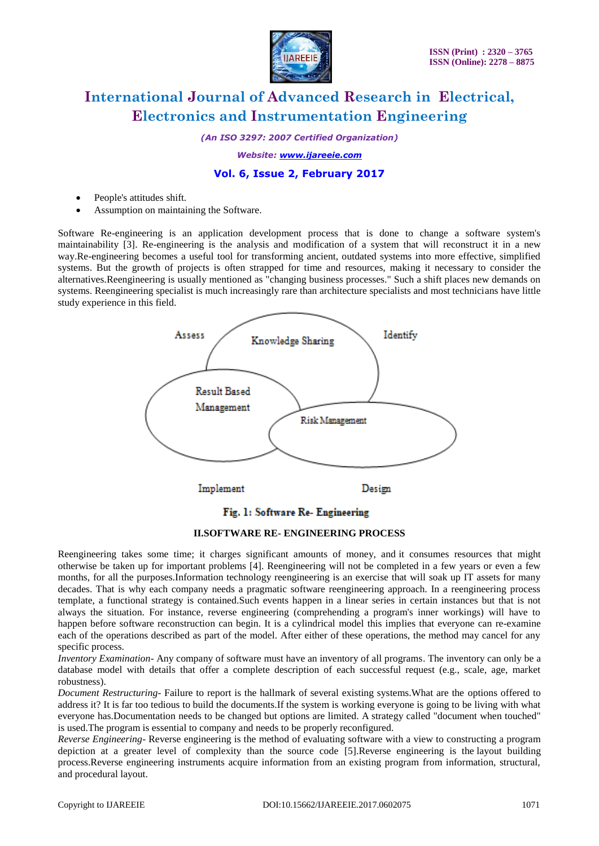

*(An ISO 3297: 2007 Certified Organization)*

*Website: [www.ijareeie.com](http://www.ijareeie.com/)*

## **Vol. 6, Issue 2, February 2017**

- People's attitudes shift.
- Assumption on maintaining the Software.

Software Re-engineering is an application development process that is done to change a software system's maintainability [3]. Re-engineering is the analysis and modification of a system that will reconstruct it in a new way.Re-engineering becomes a useful tool for transforming ancient, outdated systems into more effective, simplified systems. But the growth of projects is often strapped for time and resources, making it necessary to consider the alternatives.Reengineering is usually mentioned as "changing business processes." Such a shift places new demands on systems. Reengineering specialist is much increasingly rare than architecture specialists and most technicians have little study experience in this field.



# Fig. 1: Software Re- Engineering

### **II.SOFTWARE RE- ENGINEERING PROCESS**

Reengineering takes some time; it charges significant amounts of money, and it consumes resources that might otherwise be taken up for important problems [4]. Reengineering will not be completed in a few years or even a few months, for all the purposes.Information technology reengineering is an exercise that will soak up IT assets for many decades. That is why each company needs a pragmatic software reengineering approach. In a reengineering process template, a functional strategy is contained.Such events happen in a linear series in certain instances but that is not always the situation. For instance, reverse engineering (comprehending a program's inner workings) will have to happen before software reconstruction can begin. It is a cylindrical model this implies that everyone can re-examine each of the operations described as part of the model. After either of these operations, the method may cancel for any specific process.

*Inventory Examination-* Any company of software must have an inventory of all programs. The inventory can only be a database model with details that offer a complete description of each successful request (e.g., scale, age, market robustness).

*Document Restructuring*- Failure to report is the hallmark of several existing systems.What are the options offered to address it? It is far too tedious to build the documents.If the system is working everyone is going to be living with what everyone has.Documentation needs to be changed but options are limited. A strategy called "document when touched" is used.The program is essential to company and needs to be properly reconfigured.

*Reverse Engineering*- Reverse engineering is the method of evaluating software with a view to constructing a program depiction at a greater level of complexity than the source code [5].Reverse engineering is the layout building process.Reverse engineering instruments acquire information from an existing program from information, structural, and procedural layout.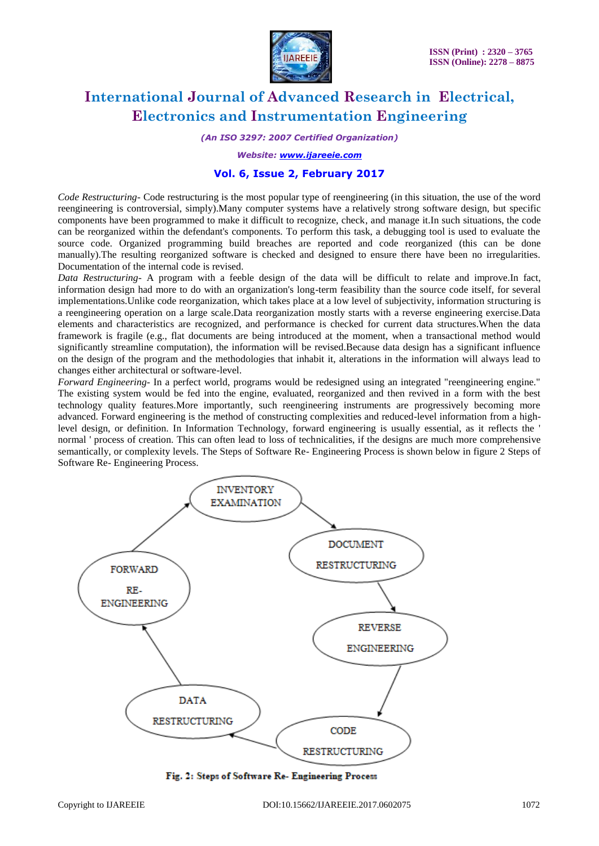

*(An ISO 3297: 2007 Certified Organization)*

*Website: [www.ijareeie.com](http://www.ijareeie.com/)*

### **Vol. 6, Issue 2, February 2017**

*Code Restructuring*- Code restructuring is the most popular type of reengineering (in this situation, the use of the word reengineering is controversial, simply).Many computer systems have a relatively strong software design, but specific components have been programmed to make it difficult to recognize, check, and manage it.In such situations, the code can be reorganized within the defendant's components. To perform this task, a debugging tool is used to evaluate the source code. Organized programming build breaches are reported and code reorganized (this can be done manually).The resulting reorganized software is checked and designed to ensure there have been no irregularities. Documentation of the internal code is revised.

*Data Restructuring-* A program with a feeble design of the data will be difficult to relate and improve.In fact, information design had more to do with an organization's long-term feasibility than the source code itself, for several implementations.Unlike code reorganization, which takes place at a low level of subjectivity, information structuring is a reengineering operation on a large scale.Data reorganization mostly starts with a reverse engineering exercise.Data elements and characteristics are recognized, and performance is checked for current data structures.When the data framework is fragile (e.g., flat documents are being introduced at the moment, when a transactional method would significantly streamline computation), the information will be revised.Because data design has a significant influence on the design of the program and the methodologies that inhabit it, alterations in the information will always lead to changes either architectural or software-level.

*Forward Engineering-* In a perfect world, programs would be redesigned using an integrated "reengineering engine." The existing system would be fed into the engine, evaluated, reorganized and then revived in a form with the best technology quality features.More importantly, such reengineering instruments are progressively becoming more advanced. Forward engineering is the method of constructing complexities and reduced-level information from a highlevel design, or definition. In Information Technology, forward engineering is usually essential, as it reflects the ' normal ' process of creation. This can often lead to loss of technicalities, if the designs are much more comprehensive semantically, or complexity levels. The Steps of Software Re- Engineering Process is shown below in figure 2 Steps of Software Re- Engineering Process.



Fig. 2: Steps of Software Re- Engineering Process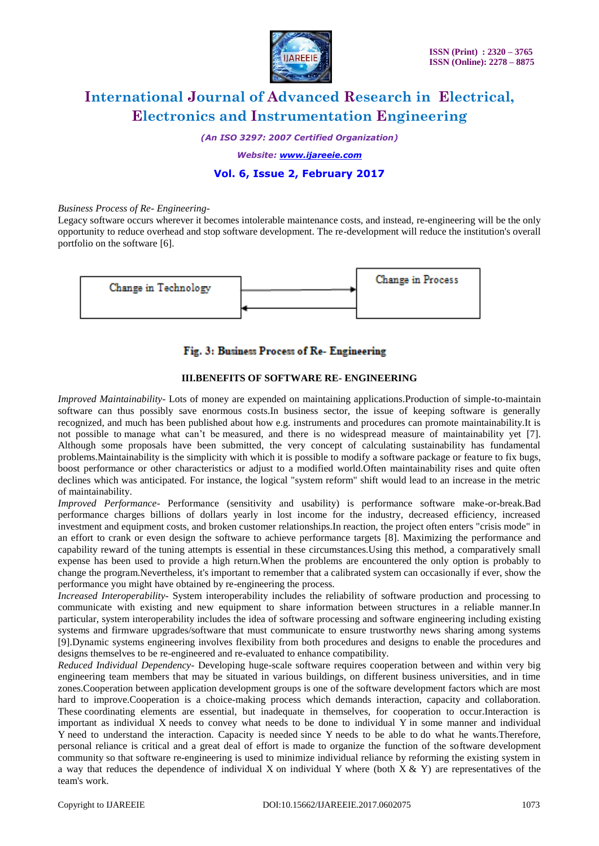

*(An ISO 3297: 2007 Certified Organization)*

*Website: [www.ijareeie.com](http://www.ijareeie.com/)*

## **Vol. 6, Issue 2, February 2017**

#### *Business Process of Re- Engineering-*

Legacy software occurs wherever it becomes intolerable maintenance costs, and instead, re-engineering will be the only opportunity to reduce overhead and stop software development. The re-development will reduce the institution's overall portfolio on the software [6].



### Fig. 3: Business Process of Re- Engineering

### **III.BENEFITS OF SOFTWARE RE- ENGINEERING**

*Improved Maintainability*- Lots of money are expended on maintaining applications.Production of simple-to-maintain software can thus possibly save enormous costs.In business sector, the issue of keeping software is generally recognized, and much has been published about how e.g. instruments and procedures can promote maintainability.It is not possible to manage what can't be measured, and there is no widespread measure of maintainability yet [7]. Although some proposals have been submitted, the very concept of calculating sustainability has fundamental problems.Maintainability is the simplicity with which it is possible to modify a software package or feature to fix bugs, boost performance or other characteristics or adjust to a modified world.Often maintainability rises and quite often declines which was anticipated. For instance, the logical "system reform" shift would lead to an increase in the metric of maintainability.

*Improved Performance*- Performance (sensitivity and usability) is performance software make-or-break.Bad performance charges billions of dollars yearly in lost income for the industry, decreased efficiency, increased investment and equipment costs, and broken customer relationships.In reaction, the project often enters "crisis mode" in an effort to crank or even design the software to achieve performance targets [8]. Maximizing the performance and capability reward of the tuning attempts is essential in these circumstances.Using this method, a comparatively small expense has been used to provide a high return.When the problems are encountered the only option is probably to change the program.Nevertheless, it's important to remember that a calibrated system can occasionally if ever, show the performance you might have obtained by re-engineering the process.

*Increased Interoperability*- System interoperability includes the reliability of software production and processing to communicate with existing and new equipment to share information between structures in a reliable manner.In particular, system interoperability includes the idea of software processing and software engineering including existing systems and firmware upgrades/software that must communicate to ensure trustworthy news sharing among systems [9].Dynamic systems engineering involves flexibility from both procedures and designs to enable the procedures and designs themselves to be re-engineered and re-evaluated to enhance compatibility.

*Reduced Individual Dependency*- Developing huge-scale software requires cooperation between and within very big engineering team members that may be situated in various buildings, on different business universities, and in time zones.Cooperation between application development groups is one of the software development factors which are most hard to improve.Cooperation is a choice-making process which demands interaction, capacity and collaboration. These coordinating elements are essential, but inadequate in themselves, for cooperation to occur.Interaction is important as individual X needs to convey what needs to be done to individual Y in some manner and individual Y need to understand the interaction. Capacity is needed since Y needs to be able to do what he wants.Therefore, personal reliance is critical and a great deal of effort is made to organize the function of the software development community so that software re-engineering is used to minimize individual reliance by reforming the existing system in a way that reduces the dependence of individual X on individual Y where (both  $X & Y$ ) are representatives of the team's work.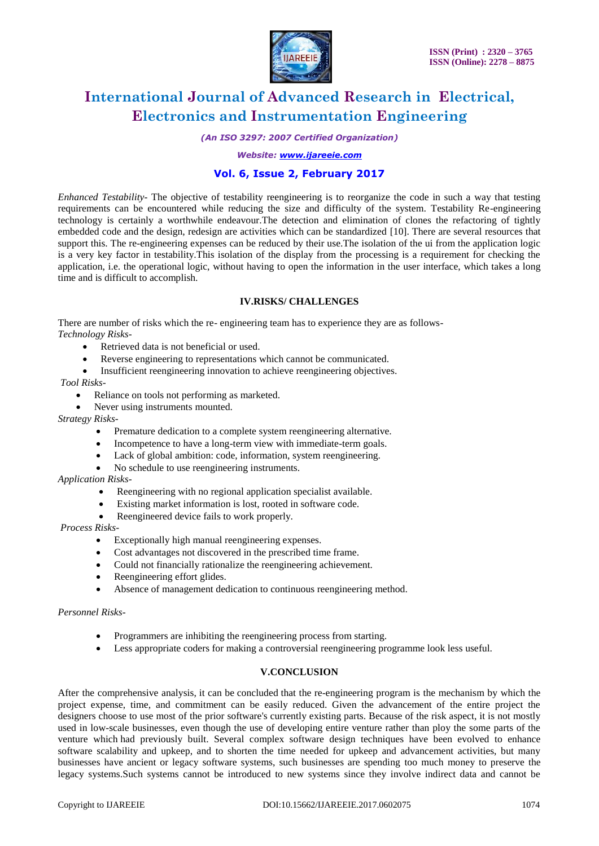

*(An ISO 3297: 2007 Certified Organization)*

#### *Website: [www.ijareeie.com](http://www.ijareeie.com/)*

### **Vol. 6, Issue 2, February 2017**

*Enhanced Testability*- The objective of testability reengineering is to reorganize the code in such a way that testing requirements can be encountered while reducing the size and difficulty of the system. Testability Re-engineering technology is certainly a worthwhile endeavour.The detection and elimination of clones the refactoring of tightly embedded code and the design, redesign are activities which can be standardized [10]. There are several resources that support this. The re-engineering expenses can be reduced by their use.The isolation of the ui from the application logic is a very key factor in testability.This isolation of the display from the processing is a requirement for checking the application, i.e. the operational logic, without having to open the information in the user interface, which takes a long time and is difficult to accomplish.

### **IV.RISKS/ CHALLENGES**

There are number of risks which the re- engineering team has to experience they are as follows-*Technology Risks-*

- Retrieved data is not beneficial or used.
- Reverse engineering to representations which cannot be communicated.
- Insufficient reengineering innovation to achieve reengineering objectives.

### *Tool Risks-*

- Reliance on tools not performing as marketed.
- Never using instruments mounted.

#### *Strategy Risks-*

- Premature dedication to a complete system reengineering alternative.
- Incompetence to have a long-term view with immediate-term goals.
- Lack of global ambition: code, information, system reengineering.
- No schedule to use reengineering instruments.

### *Application Risks-*

- Reengineering with no regional application specialist available.
- Existing market information is lost, rooted in software code.
- Reengineered device fails to work properly.

#### *Process Risks-*

- Exceptionally high manual reengineering expenses.
- Cost advantages not discovered in the prescribed time frame.
- Could not financially rationalize the reengineering achievement.
- Reengineering effort glides.
- Absence of management dedication to continuous reengineering method.

#### *Personnel Risks-*

- Programmers are inhibiting the reengineering process from starting.
- Less appropriate coders for making a controversial reengineering programme look less useful.

### **V.CONCLUSION**

After the comprehensive analysis, it can be concluded that the re-engineering program is the mechanism by which the project expense, time, and commitment can be easily reduced. Given the advancement of the entire project the designers choose to use most of the prior software's currently existing parts. Because of the risk aspect, it is not mostly used in low-scale businesses, even though the use of developing entire venture rather than ploy the some parts of the venture which had previously built. Several complex software design techniques have been evolved to enhance software scalability and upkeep, and to shorten the time needed for upkeep and advancement activities, but many businesses have ancient or legacy software systems, such businesses are spending too much money to preserve the legacy systems.Such systems cannot be introduced to new systems since they involve indirect data and cannot be